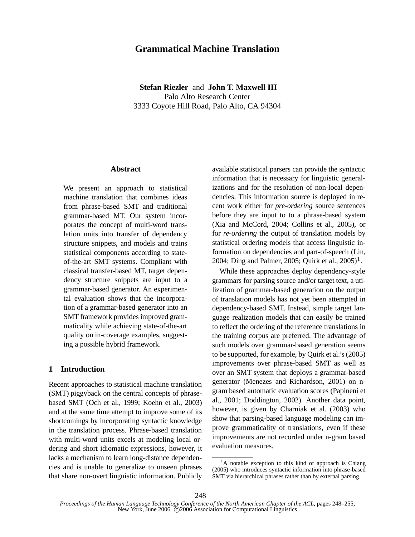# **Grammatical Machine Translation**

**Stefan Riezler** and **John T. Maxwell III** Palo Alto Research Center 3333 Coyote Hill Road, Palo Alto, CA 94304

### **Abstract**

We present an approach to statistical machine translation that combines ideas from phrase-based SMT and traditional grammar-based MT. Our system incorporates the concept of multi-word translation units into transfer of dependency structure snippets, and models and trains statistical components according to stateof-the-art SMT systems. Compliant with classical transfer-based MT, target dependency structure snippets are input to a grammar-based generator. An experimental evaluation shows that the incorporation of a grammar-based generator into an SMT framework provides improved grammaticality while achieving state-of-the-art quality on in-coverage examples, suggesting a possible hybrid framework.

## **1 Introduction**

Recent approaches to statistical machine translation (SMT) piggyback on the central concepts of phrasebased SMT (Och et al., 1999; Koehn et al., 2003) and at the same time attempt to improve some of its shortcomings by incorporating syntactic knowledge in the translation process. Phrase-based translation with multi-word units excels at modeling local ordering and short idiomatic expressions, however, it lacks a mechanism to learn long-distance dependencies and is unable to generalize to unseen phrases that share non-overt linguistic information. Publicly

available statistical parsers can provide the syntactic information that is necessary for linguistic generalizations and for the resolution of non-local dependencies. This information source is deployed in recent work either for *pre-ordering* source sentences before they are input to to a phrase-based system (Xia and McCord, 2004; Collins et al., 2005), or for *re-ordering* the output of translation models by statistical ordering models that access linguistic information on dependencies and part-of-speech (Lin, 2004; Ding and Palmer, 2005; Quirk et al.,  $2005$ <sup>1</sup>.

While these approaches deploy dependency-style grammars for parsing source and/or target text, a utilization of grammar-based generation on the output of translation models has not yet been attempted in dependency-based SMT. Instead, simple target language realization models that can easily be trained to reflect the ordering of the reference translations in the training corpus are preferred. The advantage of such models over grammar-based generation seems to be supported, for example, by Quirk et al.'s (2005) improvements over phrase-based SMT as well as over an SMT system that deploys a grammar-based generator (Menezes and Richardson, 2001) on ngram based automatic evaluation scores (Papineni et al., 2001; Doddington, 2002). Another data point, however, is given by Charniak et al. (2003) who show that parsing-based language modeling can improve grammaticality of translations, even if these improvements are not recorded under n-gram based evaluation measures.

<sup>&</sup>lt;sup>1</sup>A notable exception to this kind of approach is Chiang (2005) who introduces syntactic information into phrase-based SMT via hierarchical phrases rather than by external parsing.

*Proceedings of the Human Language Technology Conference of the North American Chapter of the ACL*, pages 248–255, New York, June 2006. C 2006 Association for Computational Linguistics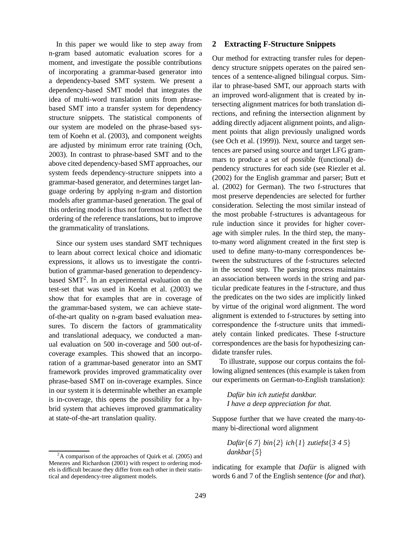In this paper we would like to step away from n-gram based automatic evaluation scores for a moment, and investigate the possible contributions of incorporating a grammar-based generator into a dependency-based SMT system. We present a dependency-based SMT model that integrates the idea of multi-word translation units from phrasebased SMT into a transfer system for dependency structure snippets. The statistical components of our system are modeled on the phrase-based system of Koehn et al. (2003), and component weights are adjusted by minimum error rate training (Och, 2003). In contrast to phrase-based SMT and to the above cited dependency-based SMT approaches, our system feeds dependency-structure snippets into a grammar-based generator, and determines target language ordering by applying n-gram and distortion models after grammar-based generation. The goal of this ordering model is thus not foremost to reflect the ordering of the reference translations, but to improve the grammaticality of translations.

Since our system uses standard SMT techniques to learn about correct lexical choice and idiomatic expressions, it allows us to investigate the contribution of grammar-based generation to dependencybased SMT<sup>2</sup>. In an experimental evaluation on the test-set that was used in Koehn et al. (2003) we show that for examples that are in coverage of the grammar-based system, we can achieve stateof-the-art quality on n-gram based evaluation measures. To discern the factors of grammaticality and translational adequacy, we conducted a manual evaluation on 500 in-coverage and 500 out-ofcoverage examples. This showed that an incorporation of a grammar-based generator into an SMT framework provides improved grammaticality over phrase-based SMT on in-coverage examples. Since in our system it is determinable whether an example is in-coverage, this opens the possibility for a hybrid system that achieves improved grammaticality at state-of-the-art translation quality.

## **2 Extracting F-Structure Snippets**

Our method for extracting transfer rules for dependency structure snippets operates on the paired sentences of a sentence-aligned bilingual corpus. Similar to phrase-based SMT, our approach starts with an improved word-alignment that is created by intersecting alignment matrices for both translation directions, and refining the intersection alignment by adding directly adjacent alignment points, and alignment points that align previously unaligned words (see Och et al. (1999)). Next, source and target sentences are parsed using source and target LFG grammars to produce a set of possible f(unctional) dependency structures for each side (see Riezler et al. (2002) for the English grammar and parser; Butt et al. (2002) for German). The two f-structures that most preserve dependencies are selected for further consideration. Selecting the most similar instead of the most probable f-structures is advantageous for rule induction since it provides for higher coverage with simpler rules. In the third step, the manyto-many word alignment created in the first step is used to define many-to-many correspondences between the substructures of the f-structures selected in the second step. The parsing process maintains an association between words in the string and particular predicate features in the f-structure, and thus the predicates on the two sides are implicitly linked by virtue of the original word alignment. The word alignment is extended to f-structures by setting into correspondence the f-structure units that immediately contain linked predicates. These f-structure correspondences are the basis for hypothesizing candidate transfer rules.

To illustrate, suppose our corpus contains the following aligned sentences (this example is taken from our experiments on German-to-English translation):

*Dafur¨ bin ich zutiefst dankbar. I have a deep appreciation for that.*

Suppose further that we have created the many-tomany bi-directional word alignment

$$
Dafür{6 7} bin{2} ich{1} zutiefst{3 4 5}
$$
  
dankbar{5}

indicating for example that *Dafür* is aligned with words 6 and 7 of the English sentence (*for* and *that*).

 $^{2}$ A comparison of the approaches of Quirk et al. (2005) and Menezes and Richardson (2001) with respect to ordering models is difficult because they differ from each other in their statistical and dependency-tree alignment models.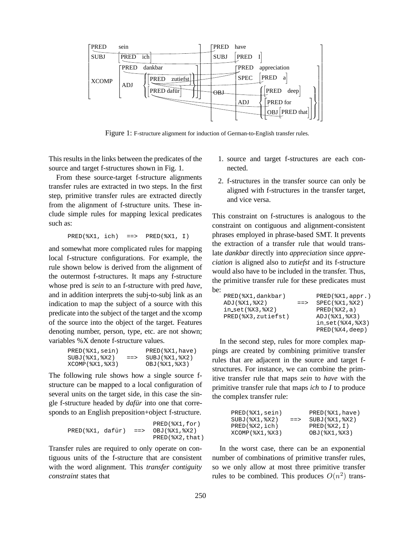

Figure 1: F-structure alignment for induction of German-to-English transfer rules.

This results in the links between the predicates of the source and target f-structures shown in Fig. 1.

From these source-target f-structure alignments transfer rules are extracted in two steps. In the first step, primitive transfer rules are extracted directly from the alignment of f-structure units. These include simple rules for mapping lexical predicates such as:

```
PRED(%X1, ich) ==> PRED(%X1, I)
```
and somewhat more complicated rules for mapping local f-structure configurations. For example, the rule shown below is derived from the alignment of the outermost f-structures. It maps any f-structure whose pred is *sein* to an f-structure with pred *have*, and in addition interprets the subj-to-subj link as an indication to map the subject of a source with this predicate into the subject of the target and the xcomp of the source into the object of the target. Features denoting number, person, type, etc. are not shown; variables %X denote f-structure values.

| $PRED$ $(X1, sein)$ |            | $PRED$ $8X1$ , have) |
|---------------------|------------|----------------------|
| $SUBJ(%X1,$ $X2)$   | $=$ $\geq$ | SUBJ(%X1,%X2)        |
| XCOMP(%X1,%X3)      |            | OBJ(%X1,%X3)         |

The following rule shows how a single source fstructure can be mapped to a local configuration of several units on the target side, in this case the single f-structure headed by *dafür* into one that corresponds to an English preposition+object f-structure.

|                  |           | $PRED$ $($ $X1$ , $for$ ) |
|------------------|-----------|---------------------------|
| PRED(%X1, dafür) | $=$ $\ge$ | OBJ(%X1,%X2)              |
|                  |           | $PRED$ ( $X2$ , that)     |

Transfer rules are required to only operate on contiguous units of the f-structure that are consistent with the word alignment. This *transfer contiguity constraint* states that

- 1. source and target f-structures are each connected.
- 2. f-structures in the transfer source can only be aligned with f-structures in the transfer target, and vice versa.

This constraint on f-structures is analogous to the constraint on contiguous and alignment-consistent phrases employed in phrase-based SMT. It prevents the extraction of a transfer rule that would translate *dankbar* directly into *appreciation* since *appreciation* is aligned also to *zutiefst* and its f-structure would also have to be included in the transfer. Thus, the primitive transfer rule for these predicates must be:

| PRED(%X1, dankbar)       |             | $PRED$ ( $X1$ , appr.)   |
|--------------------------|-------------|--------------------------|
| $ADJ$ $($ $X1$ , $8X2$ ) | $=$ $=$ $>$ | $SPEC$ $% X1$ , $% X2$ ) |
| $in_set(%X3,$ $X2)$      |             | $PRED$ $($ $X2.a)$       |
| PRED(%X3, zutiefst)      |             | ADJ(%X1,%X3)             |
|                          |             | $in_set(%X4,$ $X3)$      |
|                          |             | $PRED$ ( $X4$ , deep)    |

In the second step, rules for more complex mappings are created by combining primitive transfer rules that are adjacent in the source and target fstructures. For instance, we can combine the primitive transfer rule that maps *sein* to *have* with the primitive transfer rule that maps *ich* to *I* to produce the complex transfer rule:

| PRED(%X1, sein)          |             | $PRED$ $8X1$ , have) |
|--------------------------|-------------|----------------------|
| SUBJ(%X1,8X2)            | $=$ $=$ $>$ | SUBJ(%X1,%X2)        |
| $PRED$ $($ $X2$ , $ich)$ |             | $PRED$ $(X2, I)$     |
| XCOMP(%X1,%X3)           |             | OBJ(%X1,%X3)         |

In the worst case, there can be an exponential number of combinations of primitive transfer rules, so we only allow at most three primitive transfer rules to be combined. This produces  $O(n^2)$  trans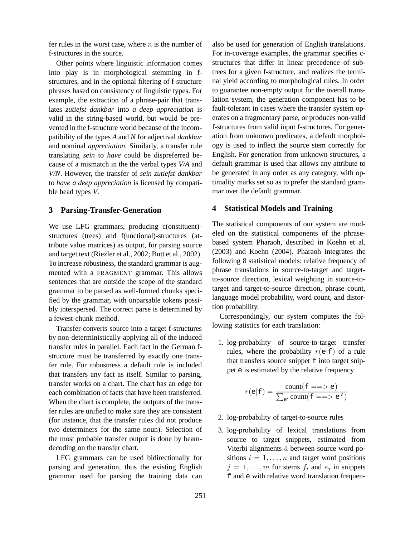fer rules in the worst case, where  $n$  is the number of f-structures in the source.

Other points where linguistic information comes into play is in morphological stemming in fstructures, and in the optional filtering of f-structure phrases based on consistency of linguistic types. For example, the extraction of a phrase-pair that translates *zutiefst dankbar* into *a deep appreciation* is valid in the string-based world, but would be prevented in the f-structure world because of the incompatibility of the types *A* and *N* for adjectival *dankbar* and nominal *appreciation*. Similarly, a transfer rule translating *sein* to *have* could be dispreferred because of a mismatch in the the verbal types *V/A* and *V/N*. However, the transfer of *sein zutiefst dankbar* to *have a deep appreciation* is licensed by compatible head types *V*.

### **3 Parsing-Transfer-Generation**

We use LFG grammars, producing c(onstituent)structures (trees) and f(unctional)-structures (attribute value matrices) as output, for parsing source and target text (Riezler et al., 2002; Butt et al., 2002). To increase robustness, the standard grammar is augmented with a FRAGMENT grammar. This allows sentences that are outside the scope of the standard grammar to be parsed as well-formed chunks specified by the grammar, with unparsable tokens possibly interspersed. The correct parse is determined by a fewest-chunk method.

Transfer converts source into a target f-structures by non-deterministically applying all of the induced transfer rules in parallel. Each fact in the German fstructure must be transferred by exactly one transfer rule. For robustness a default rule is included that transfers any fact as itself. Similar to parsing, transfer works on a chart. The chart has an edge for each combination of facts that have been transferred. When the chart is complete, the outputs of the transfer rules are unified to make sure they are consistent (for instance, that the transfer rules did not produce two determiners for the same noun). Selection of the most probable transfer output is done by beamdecoding on the transfer chart.

LFG grammars can be used bidirectionally for parsing and generation, thus the existing English grammar used for parsing the training data can also be used for generation of English translations. For in-coverage examples, the grammar specifies cstructures that differ in linear precedence of subtrees for a given f-structure, and realizes the terminal yield according to morphological rules. In order to guarantee non-empty output for the overall translation system, the generation component has to be fault-tolerant in cases where the transfer system operates on a fragmentary parse, or produces non-valid f-structures from valid input f-structures. For generation from unknown predicates, a default morphology is used to inflect the source stem correctly for English. For generation from unknown structures, a default grammar is used that allows any attribute to be generated in any order as any category, with optimality marks set so as to prefer the standard grammar over the default grammar.

# **4 Statistical Models and Training**

The statistical components of our system are modeled on the statistical components of the phrasebased system Pharaoh, described in Koehn et al. (2003) and Koehn (2004). Pharaoh integrates the following 8 statistical models: relative frequency of phrase translations in source-to-target and targetto-source direction, lexical weighting in source-totarget and target-to-source direction, phrase count, language model probability, word count, and distortion probability.

Correspondingly, our system computes the following statistics for each translation:

1. log-probability of source-to-target transfer rules, where the probability  $r(e|f)$  of a rule that transfers source snippet f into target snippet e is estimated by the relative frequency

$$
r(e|f) = \frac{\text{count}(f == > e)}{\sum_{e'} \text{count}(f == > e')}
$$

- 2. log-probability of target-to-source rules
- 3. log-probability of lexical translations from source to target snippets, estimated from Viterbi alignments  $\hat{a}$  between source word positions  $i = 1, \ldots, n$  and target word positions  $j = 1, \ldots, m$  for stems  $f_i$  and  $e_j$  in snippets f and e with relative word translation frequen-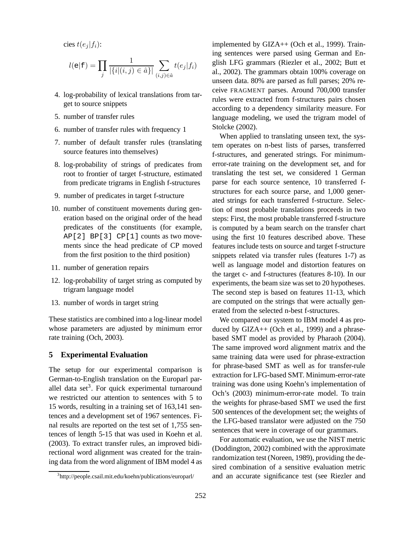cies  $t(e_i | f_i)$ :

$$
l(e|f) = \prod_{j} \frac{1}{|\{i|(i,j) \in \hat{a}\}|} \sum_{(i,j) \in \hat{a}} t(e_j|f_i)
$$

- 4. log-probability of lexical translations from target to source snippets
- 5. number of transfer rules
- 6. number of transfer rules with frequency 1
- 7. number of default transfer rules (translating source features into themselves)
- 8. log-probability of strings of predicates from root to frontier of target f-structure, estimated from predicate trigrams in English f-structures
- 9. number of predicates in target f-structure
- 10. number of constituent movements during generation based on the original order of the head predicates of the constituents (for example, AP[2] BP[3] CP[1] counts as two movements since the head predicate of CP moved from the first position to the third position)
- 11. number of generation repairs
- 12. log-probability of target string as computed by trigram language model
- 13. number of words in target string

These statistics are combined into a log-linear model whose parameters are adjusted by minimum error rate training (Och, 2003).

### **5 Experimental Evaluation**

The setup for our experimental comparison is German-to-English translation on the Europarl parallel data set<sup>3</sup>. For quick experimental turnaround we restricted our attention to sentences with 5 to 15 words, resulting in a training set of 163,141 sentences and a development set of 1967 sentences. Final results are reported on the test set of 1,755 sentences of length 5-15 that was used in Koehn et al. (2003). To extract transfer rules, an improved bidirectional word alignment was created for the training data from the word alignment of IBM model 4 as implemented by GIZA++ (Och et al., 1999). Training sentences were parsed using German and English LFG grammars (Riezler et al., 2002; Butt et al., 2002). The grammars obtain 100% coverage on unseen data. 80% are parsed as full parses; 20% receive FRAGMENT parses. Around 700,000 transfer rules were extracted from f-structures pairs chosen according to a dependency similarity measure. For language modeling, we used the trigram model of Stolcke (2002).

When applied to translating unseen text, the system operates on n-best lists of parses, transferred f-structures, and generated strings. For minimumerror-rate training on the development set, and for translating the test set, we considered 1 German parse for each source sentence, 10 transferred fstructures for each source parse, and 1,000 generated strings for each transferred f-structure. Selection of most probable translations proceeds in two steps: First, the most probable transferred f-structure is computed by a beam search on the transfer chart using the first 10 features described above. These features include tests on source and target f-structure snippets related via transfer rules (features 1-7) as well as language model and distortion features on the target c- and f-structures (features 8-10). In our experiments, the beam size was set to 20 hypotheses. The second step is based on features 11-13, which are computed on the strings that were actually generated from the selected n-best f-structures.

We compared our system to IBM model 4 as produced by GIZA++ (Och et al., 1999) and a phrasebased SMT model as provided by Pharaoh (2004). The same improved word alignment matrix and the same training data were used for phrase-extraction for phrase-based SMT as well as for transfer-rule extraction for LFG-based SMT. Minimum-error-rate training was done using Koehn's implementation of Och's (2003) minimum-error-rate model. To train the weights for phrase-based SMT we used the first 500 sentences of the development set; the weights of the LFG-based translator were adjusted on the 750 sentences that were in coverage of our grammars.

For automatic evaluation, we use the NIST metric (Doddington, 2002) combined with the approximate randomization test (Noreen, 1989), providing the desired combination of a sensitive evaluation metric and an accurate significance test (see Riezler and

<sup>3</sup> http://people.csail.mit.edu/koehn/publications/europarl/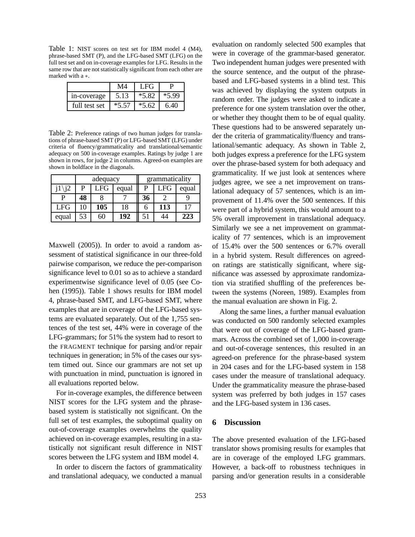Table 1: NIST scores on test set for IBM model 4 (M4), phrase-based SMT (P), and the LFG-based SMT (LFG) on the full test set and on in-coverage examples for LFG. Results in the same row that are not statistically significant from each other are marked with a ∗.

|               | M4      | LFG.    |         |
|---------------|---------|---------|---------|
| in-coverage   | 5.13    | $*5.82$ | $*5.99$ |
| full test set | $*5.57$ | $*5.62$ | 6.40    |

Table 2: Preference ratings of two human judges for translations of phrase-based SMT (P) or LFG-based SMT (LFG) under criteria of fluency/grammaticality and translational/semantic adequacy on 500 in-coverage examples. Ratings by judge 1 are shown in rows, for judge 2 in columns. Agreed-on examples are shown in boldface in the diagonals.

|            | adequacy |              |       | grammaticality |     |       |
|------------|----------|--------------|-------|----------------|-----|-------|
|            | р        | $_{\rm LFG}$ | equal | P              | LFG | equal |
| р          | 48       |              |       | 36             |     |       |
| <b>LFG</b> |          | 105          | 18    | n              | 113 |       |
| equal      | 53       | 50           | 192   |                |     | 223   |

Maxwell (2005)). In order to avoid a random assessment of statistical significance in our three-fold pairwise comparison, we reduce the per-comparison significance level to 0.01 so as to achieve a standard experimentwise significance level of 0.05 (see Cohen (1995)). Table 1 shows results for IBM model 4, phrase-based SMT, and LFG-based SMT, where examples that are in coverage of the LFG-based systems are evaluated separately. Out of the 1,755 sentences of the test set, 44% were in coverage of the LFG-grammars; for 51% the system had to resort to the FRAGMENT technique for parsing and/or repair techniques in generation; in 5% of the cases our system timed out. Since our grammars are not set up with punctuation in mind, punctuation is ignored in all evaluations reported below.

For in-coverage examples, the difference between NIST scores for the LFG system and the phrasebased system is statistically not significant. On the full set of test examples, the suboptimal quality on out-of-coverage examples overwhelms the quality achieved on in-coverage examples, resulting in a statistically not significant result difference in NIST scores between the LFG system and IBM model 4.

In order to discern the factors of grammaticality and translational adequacy, we conducted a manual evaluation on randomly selected 500 examples that were in coverage of the grammar-based generator. Two independent human judges were presented with the source sentence, and the output of the phrasebased and LFG-based systems in a blind test. This was achieved by displaying the system outputs in random order. The judges were asked to indicate a preference for one system translation over the other, or whether they thought them to be of equal quality. These questions had to be answered separately under the criteria of grammaticality/fluency and translational/semantic adequacy. As shown in Table 2, both judges express a preference for the LFG system over the phrase-based system for both adequacy and grammaticality. If we just look at sentences where judges agree, we see a net improvement on translational adequacy of 57 sentences, which is an improvement of 11.4% over the 500 sentences. If this were part of a hybrid system, this would amount to a 5% overall improvement in translational adequacy. Similarly we see a net improvement on grammaticality of 77 sentences, which is an improvement of 15.4% over the 500 sentences or 6.7% overall in a hybrid system. Result differences on agreedon ratings are statistically significant, where significance was assessed by approximate randomization via stratified shuffling of the preferences between the systems (Noreen, 1989). Examples from the manual evaluation are shown in Fig. 2.

Along the same lines, a further manual evaluation was conducted on 500 randomly selected examples that were out of coverage of the LFG-based grammars. Across the combined set of 1,000 in-coverage and out-of-coverage sentences, this resulted in an agreed-on preference for the phrase-based system in 204 cases and for the LFG-based system in 158 cases under the measure of translational adequacy. Under the grammaticality measure the phrase-based system was preferred by both judges in 157 cases and the LFG-based system in 136 cases.

#### **6 Discussion**

The above presented evaluation of the LFG-based translator shows promising results for examples that are in coverage of the employed LFG grammars. However, a back-off to robustness techniques in parsing and/or generation results in a considerable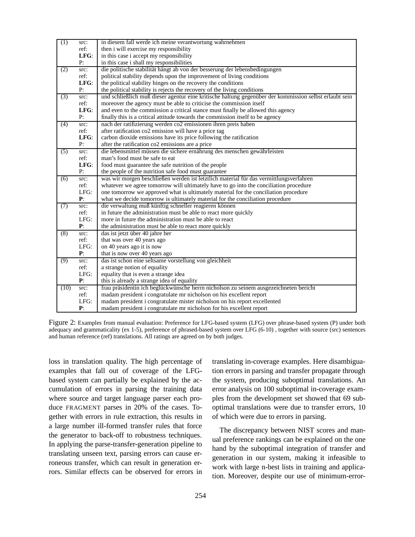| (1)  | src:        | in diesem fall werde ich meine verantwortung wahrnehmen                                                |  |  |  |
|------|-------------|--------------------------------------------------------------------------------------------------------|--|--|--|
|      | ref:        | then i will exercise my responsibility                                                                 |  |  |  |
|      | LFG:        | in this case i accept my responsibility                                                                |  |  |  |
|      | P:          | in this case i shall my responsibilities                                                               |  |  |  |
| (2)  | src:        | die politische stabilität hängt ab von der besserung der lebensbedingungen                             |  |  |  |
|      | ref:        | political stability depends upon the improvement of living conditions                                  |  |  |  |
|      | LFG:        | the political stability hinges on the recovery the conditions                                          |  |  |  |
|      | P:          | the political stability is rejects the recovery of the living conditions                               |  |  |  |
| (3)  | src:        | und schließlich muß dieser agentur eine kritische haltung gegenüber der kommission selbst erlaubt sein |  |  |  |
|      | ref:        | moreover the agency must be able to criticise the commission itself                                    |  |  |  |
|      | LFG:        | and even to the commission a critical stance must finally be allowed this agency                       |  |  |  |
|      | P:          | finally this is a critical attitude towards the commission itself to be agency                         |  |  |  |
| (4)  | src:        | nach der ratifizierung werden co2 emissionen ihren preis haben                                         |  |  |  |
|      | ref:        | after ratification co2 emission will have a price tag                                                  |  |  |  |
|      | LFG:        | carbon dioxide emissions have its price following the ratification                                     |  |  |  |
|      | P:          | after the ratification co2 emissions are a price                                                       |  |  |  |
| (5)  | src:        | die lebensmittel müssen die sichere ernährung des menschen gewährleisten                               |  |  |  |
|      | ref:        | man's food must be safe to eat                                                                         |  |  |  |
|      | LFG:        | food must guarantee the safe nutrition of the people                                                   |  |  |  |
|      | P:          | the people of the nutrition safe food must guarantee                                                   |  |  |  |
| (6)  | src:        | was wir morgen beschließen werden ist letztlich material für das vermittlungsverfahren                 |  |  |  |
|      | ref:        | whatever we agree tomorrow will ultimately have to go into the conciliation procedure                  |  |  |  |
|      | LFG:        | one tomorrow we approved what is ultimately material for the conciliation procedure                    |  |  |  |
|      | P:          | what we decide tomorrow is ultimately material for the conciliation procedure                          |  |  |  |
| (7)  | src:        | die verwaltung muß künftig schneller reagieren können                                                  |  |  |  |
|      | ref:        | in future the administration must be able to react more quickly                                        |  |  |  |
|      | LFG:        | more in future the administration must be able to react                                                |  |  |  |
|      | ${\bf P}$ : | the administration must be able to react more quickly                                                  |  |  |  |
| (8)  | src:        | das ist jetzt über 40 jahre her                                                                        |  |  |  |
|      | ref:        | that was over 40 years ago                                                                             |  |  |  |
|      | LFG:        | on 40 years ago it is now                                                                              |  |  |  |
|      | P:          | that is now over 40 years ago                                                                          |  |  |  |
| (9)  | src:        | das ist schon eine seltsame vorstellung von gleichheit                                                 |  |  |  |
|      | ref:        | a strange notion of equality                                                                           |  |  |  |
|      | LFG:        | equality that is even a strange idea                                                                   |  |  |  |
|      | P:          | this is already a strange idea of equality                                                             |  |  |  |
| (10) | src:        | frau präsidentin ich beglückwünsche herrn nicholson zu seinem ausgezeichneten bericht                  |  |  |  |
|      | ref:        | madam president i congratulate mr nicholson on his excellent report                                    |  |  |  |
|      | LFG:        | madam president i congratulate mister nicholson on his report excellented                              |  |  |  |
|      | P:          | madam president i congratulate mr nicholson for his excellent report                                   |  |  |  |

Figure 2: Examples from manual evaluation: Preference for LFG-based system (LFG) over phrase-based system (P) under both adequacy and grammaticality (ex 1-5), preference of phrased-based system over LFG (6-10) , together with source (src) sentences and human reference (ref) translations. All ratings are agreed on by both judges.

loss in translation quality. The high percentage of examples that fall out of coverage of the LFGbased system can partially be explained by the accumulation of errors in parsing the training data where source and target language parser each produce FRAGMENT parses in 20% of the cases. Together with errors in rule extraction, this results in a large number ill-formed transfer rules that force the generator to back-off to robustness techniques. In applying the parse-transfer-generation pipeline to translating unseen text, parsing errors can cause erroneous transfer, which can result in generation errors. Similar effects can be observed for errors in translating in-coverage examples. Here disambiguation errors in parsing and transfer propagate through the system, producing suboptimal translations. An error analysis on 100 suboptimal in-coverage examples from the development set showed that 69 suboptimal translations were due to transfer errors, 10 of which were due to errors in parsing.

The discrepancy between NIST scores and manual preference rankings can be explained on the one hand by the suboptimal integration of transfer and generation in our system, making it infeasible to work with large n-best lists in training and application. Moreover, despite our use of minimum-error